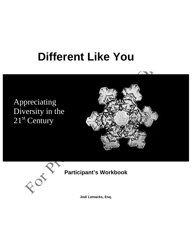# **Different Like You**

# Appreciating Diversity in the 21<sup>st</sup> Century





# **Participant's Workbook**

**Jodi Lemacks, Esq.**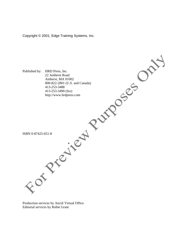Copyright © 2001, Edge Training Systems, Inc.



Production services by Anctil Virtual Office Editorial services by Robie Grant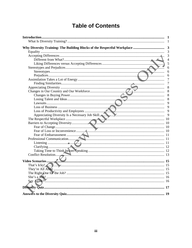# **Table of Contents**

|            | $\mathbf{1}$            |
|------------|-------------------------|
|            | $\overline{\mathbf{3}}$ |
|            |                         |
|            | 3                       |
|            | $\overline{4}$          |
|            | 5                       |
|            |                         |
|            | 6                       |
|            | 6                       |
|            | 6                       |
|            | 7                       |
|            | 7                       |
|            | 8                       |
|            | 8                       |
|            | 8                       |
|            | 8                       |
|            |                         |
|            |                         |
|            |                         |
|            |                         |
|            |                         |
|            |                         |
|            |                         |
|            |                         |
|            |                         |
|            |                         |
|            |                         |
|            |                         |
|            |                         |
|            |                         |
|            |                         |
|            |                         |
|            |                         |
|            |                         |
|            |                         |
|            |                         |
| Say Again? |                         |
|            |                         |
|            |                         |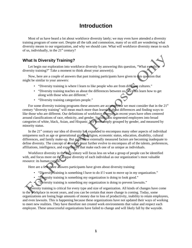# **Introduction**

Most of us have heard a lot about workforce diversity lately; we may even have attended a diversity training program of some sort. Despite all the talk and commotion, many of us still are wondering what diversity means to our organization, and why we should care. What will workforce diversity mean to each of us, individually, in the  $21<sup>st</sup>$  century?

# **What Is Diversity Training?**

Let begin our exploration into workforce diversity by answering this question, "What exactly diversity training?" Take a moment to think about your answer(s).

Now, here are a couple of answers that past training participants have given to this question that might be similar to your answers:

- "Diversity training is where I learn to like people who are from different cultures."
- "Diversity training teaches us about the differences between us. We then learn how to get along with those who are different."
- "Diversity training categorizes people."

For some diversity training programs these answers are accurate, but we must consider that in the  $21<sup>st</sup>$ century "diversity training" will mean much more than learning about differences and finding ways to like those who are different. Our definitions of workforce diversity in recent years have often centered around classifications of race, ethnicity, and gender. Statisticians segmented employees into broad categories of white, black, Asian, and Hispanic. We were simply grouped by gender, and measured by minority status.

In the  $21<sup>st</sup>$  century our idea of diversity has expanded to encompass many other aspects of individual uniqueness such as age or generational group, religion, economic status, education, disability, cultural differences, and family make-up. But even these externally measured factors are becoming inadequate to define diversity. The concept of diversity must further evolve to encompass all of the talents, preferences, affiliations, intelligence, and experiences that make each one of us unique as individuals.

Workforce diversity in the 21<sup>st</sup> century will focus less on what a group of people can be identified with, and focus more on the unique diversity of each individual as our organization's most valuable resource: its human capital.

Here are a few more answers participants have given about diversity training:

- "Diversity training is something I have to do if I want to move up in my organization."
- "Diversity training is something my organization is doing to look good."

• "Diversity training is something my organization is doing to prevent lawsuits."

Diversity training is critical for every type and size of organization. All kinds of changes have come to the workplace in recent years, and you can be certain that more change is coming. Today, some organizations are losing huge amounts of money due to loss of productivity, inability to retain employees, and even lawsuits. This is happening because these organizations have not updated their ways of working to meet new realities. They have therefore not created work environments that value and respect each employee. These unsuccessful organizations have failed to change and will likely fall by the wayside.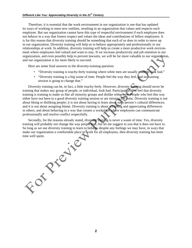Therefore, it is essential that the work environment in our organization is one that has updated its ways of working to meet new realities, resulting in an organization that values and respects each employee. But our organization cannot have this type of respectful environment if each employee does not behave in a way that fosters respect and values the ideas and contributions of fellow employees. It is for this reason that diversity training should be something that each of us does in order to move up in our organization. Diversity training will help us to behave appropriately and professionally in our relationships at work. In addition, diversity training will help us create a more productive work environment where employees feel valued and want to stay. If we increase productivity and job retention in our organization, and even possibly help to prevent lawsuits, we will be far more valuable to our organization, and our organization is far more likely to succeed.

Here are some final answers to the diversity-training question:

- "Diversity training is touchy-feely training where white men are usually made to look bad."
- "Diversity training is a big waste of time. People feel the way they feel, and no training session is going to change that."

Diversity training can be, in fact, a little touchy-feely. However, diversity training should never be training that makes any group of people, or individual, look bad. Participants often feel that diversity training is training to make us like all minority groups and dislike white men. People who feel this way either have not been to a good diversity training session or are missing the point. Diversity training is not about liking or disliking people; it is not about having to learn about each person's cultural differences; and it is not about assigning blame. Diversity training is about accepting and appreciating differences in others, and about behaving in a way that creates a workplace where employees can communicate professionally and resolve conflict respectfully.

Secondly, for the reasons already stated, diversity training is never a waste of time. Yes, diversity training will probably not change the way people feel, but let me suggest to you that it does not have to. So long as we use diversity training to learn to behave, despite any feelings we may have, in ways that make our organization a comfortable place to work for all employees, then diversity training has been

time were well spent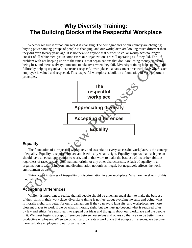# **Why Diversity Training: The Building Blocks of the Respectful Workplace**

Whether we like it or not, our world is changing. The demographics of our country are changing; buying power among groups of people is changing; and our workplaces are looking much different than they did even twenty years ago. It is not news to anyone that our white-collar workplaces no longer consist of all white men, yet in some cases our organizations are still operating as if they did. The problem with not keeping up with the times is that organizations that don't are losing money, jobs are being lost, and there is always someone to take over when they fail. Diversity training helps to avoid this failure by helping organizations create a respectful workplace—a harassment-free workplace where each employee is valued and respected. This respectful workplace is built on a foundation of very important principles.



#### **Equality**

The foundation of a respectful workplace, and essential to every successful workplace, is the concept of equality. Equality is required by law and is ethically what is right. Equality requires that each person should have an equal opportunity to work, and in that work to make the best use of his or her abilities regardless of race, sex, religion, national origin, or any other characteristic. A lack of equality in an organization is discrimination, and discrimination not only is illegal, but negatively affects the work environment as well.

Think about instances of inequality or discrimination in your workplace. What are the effects of this inequality?

# **Accepting Differences**

While it is important to realize that all people should be given an equal right to make the best use of their skills in their workplace, diversity training is not just about avoiding lawsuits and doing what is morally right. It is better for our organizations if they can avoid lawsuits, and workplaces are more pleasant places to work if we do what is morally right, but we must go beyond what is required of us by law and ethics. We must learn to expand our ideas and thoughts about our workplace and the people in it. We must begin to accept differences between ourselves and others so that we can be better, more productive employees. When we do our part to create a workplace that accepts differences, we become more valuable employees to our organization.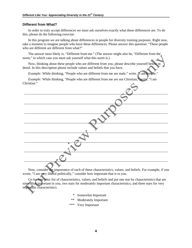#### **Different from What?**

In order to truly accept differences we must ask ourselves exactly what these differences are. To do this, please do the following exercise:

In this program we are talking about differences in people for diversity training purposes. Right now, take a moment to imagine people who have these differences. Please answer this question: "These people who are different are different from what?"

The answer most likely is, "Different from me." (The answer might also be, "Different from the norm," in which case you must ask yourself what this norm is.)

Now, thinking about these people who are different from you, please describe yourself below detail. In this description please include values and beliefs that you have.

*Example:* While thinking, "People who are different from me are male," write, '*I* am female."

*Example:* While thinking, "People who are different from me are not Christian," write, "I am Christian."

Now, consider the importance of each of these characteristics, values, and beliefs. For example, if you wrote, "I am yery liberal politically," consider how important that is to you.

Go back to your list of characteristics, values, and beliefs and put one star by characteristics that are somewhat important to you, two stars for moderately important characteristics, and three stars for very important characteristics.

- Somewhat Important
- Moderately Important
- \*\*\* Very Important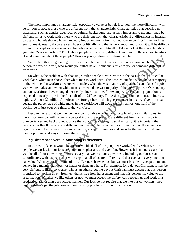The more important a characteristic, especially a value or belief, is to you, the more difficult it will be for you to accept those who are different from that characteristic. Characteristics that describe us externally, such as gender, age, race, or cultural background, are usually important to us, and it may be difficult for us to work with others who are different from that characteristic. But differences in internal values and beliefs that we have rated very important more often than not create conflict in the working environment. Again, if you are very liberal politically, and that is very important to you, it will be difficult for you to accept someone who is extremely conservative politically. Take a look at the characteristics you rated "very important." Think about people who are very different from you in those characteristics. How do you feel about those people? How do you get along with those people?

We all feel that we get along better with people like us. Consider this: When you are choosing a person to work with you, who would you rather have—someone similar to you or someone different from you?

So what is the problem with choosing similar people to work with? In the past, in the white-collar workplace, white men chose other white men to work with. This worked out fine when the vast majority of the white-collar workforce were white males, when the vast majority of qualified candidates for jobs were white males, and when white men represented the vast majority of the buying power. Our country and our workforce have changed drastically since that time. For example, the Hispanic population is expected to nearly triple in the first half of the  $21<sup>st</sup>$  century. The Asian population continues to increase rapidly. Almost 30 million Americans are foreign-born—the highest number in history. Over the next decade the percentage of white males in the workforce will decrease from almost one-half of the workforce to just over one-third of the workforce.

Despite the fact that we may be more comfortable working with people who are similar to us, in the  $21<sup>st</sup>$  century we will frequently be working with people who are different from us, with a variety of experiences and backgrounds. Since the workforce is changing so drastically, it is important that we consider that those who are different from us may be valuable to our organization. If we want our organization to be successful, we must learn to accept differences and consider the merits of different ideas, opinions, and ways of doing things.

#### **Liking Differences versus Accepting Differences**

In our workplaces it would be great if we liked all of the people we worked with. When we like people we work with our jobs are much more pleasant, and even fun. However, it is not necessary that we like all of our co-workers. It is necessary that we treat our co-workers, including our bosses and subordinates, with respect  $\bigcap_{n=1}^{\infty}$  and we accept that all of us are different, and that each and every one of us has value. We may not like some of the differences between us, but we must be able to accept them, and behave in a manner that does not harass or demean others. For example, for a devout Christian, it may be very difficult to like a co-worker who is an atheist, but the devout Christian must accept that this person is entitled to work in an environment that is free from harassment and that this person has value to the organization. Whether we like others or not, we must accept the differences between us and work in a productive, rather than destructive, manner. Our jobs do not require that we like our co-workers, they require that we get the job done without causing problems for the organization.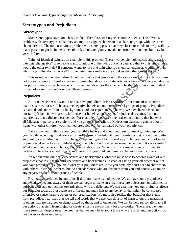# **Stereotypes and Prejudices**

#### **Stereotypes**

Most stereotypes have some basis in fact. Therefore, stereotypes continue to exist. The obvious problem with stereotypes is that they attempt to assign each person in a class, or group, with the same characteristics. The not-so-obvious problem with stereotypes is that they close our minds to the possibility that a person might be in the same cultural, ethnic, religious, social, etc., group with others, but may be very different.

Think of identical twins as an example of this problem. These two people look exactly alike, but are they interchangeable? If someone wants to ask one of the twins out on a date and that twin is unavailable, would the other twin do? If someone wants to hire one twin who is a chemical engineer, would the twin who is a plumber do just as well? If one twin likes vanilla ice cream, does the other one like it too?

This example may seem absurd, but the point is that people with the same external characteristics are not the same people. Therefore, we must remember, despite any stereotypes we may have, or even despite our past experiences, each person is different, and deserves the chance to be thought of as an individual instead of as simply another one of "those" people.

#### **Prejudices**

All of us, whether we want to or not, have prejudices. It is very difficult for some of us to admit that this is true, but we all have some negative beliefs about one or several groups of people. Prejudice is learned and comes from our backgrounds and our experiences. The way we have been raised, and our family's beliefs, will greatly influence our beliefs about people. Prejudice also comes from our experiences that validate these beliefs. For example, if you have been raised in a family that believes all Mideastern persons are violent, and you go to school where a Mideastern classmate gets in a lot of fights with other children, your learned prejudice will be validated by your experiences.

Take a moment to think about your family's beliefs and about your environment growing up. Was your family accepting of differences or fairly closed-minded? Did your family consist of a mother, father, and biological children, or did you have a different type of family make-up? Did you hear a lot of racial or prejudicial remarks as a child? Was your neighborhood diverse, or were the people in it very similar? What about your school? Think about your relationships. Who do you choose as friends or romantic partners? These factors will greatly influence how you think and how you behave towards others.

As we examine our past experiences and backgrounds, what we must do is to become aware of our prejudices that result from our experiences and backgrounds. Instead of asking yourself whether or not you have prejudices, ask yourself what your prejudices are. Now you certainly don't need to share them with others unless you want to, but do consider those who are different from you and honestly examine any negative beliefs about groups of people.

Realize that prejudice in and of itself does not make us bad people. We all have some prejudices, and when we become aware of them we can begin to make sure that these prejudices are not exhibited in our behaviors and our actions towards those who are different. We can examine how our prejudice affects our behavior towards those who are different and put a halt to any behavior that might be considered offensive or cause harm to others or our organization. We must also realize that behavior that stems from prejudice, i.e., jokes that we tell and words that we use, can do a lot of harm to our organizations, to others that are harassed or demoralized by them, and to ourselves. We can be held personally liable if our actions that stem from prejudice create a hostile environment for a co-worker. Therefore, we must make sure that, despite negative feelings that we may have about those who are different, our actions do not harass or demean others.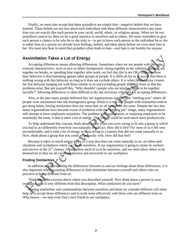Finally, we must also accept that these prejudices are simply that—negative beliefs that we have learned. These beliefs are not true about each individual with these different characteristics any more than you are exactly like each person in your racial, social, ethnic, or religious group. When we let our prejudices control us, then we do a great injustice to ourselves and to others. We must remember to give each person a chance to be who he or she truly is—to get to know each person as the individual he or she is rather than as a person we already have feelings, beliefs, and ideas about before we even meet him or her. We must also bear in mind that prejudice often leads to hate—and hate is not healthy for anyone.

# **Assimilation Takes a Lot of Energy**

Accepting differences means allowing differences. Sometimes when we see people with the same external characteristics, such as race or ethnic background, sitting together in the cafeteria, hanging out together on breaks, or spending time together after work, we feel that this is not OK—that somehow their behavior is discriminating against other groups of people. It is difficult for us to accept that there is nothing wrong with this behavior so long as it does not exclude others. It is when this behavior crosses the line between hanging out with those similar to us and excluding people different from us that the problems arise. But ask yourself this, "Why shouldn't people who are similar choose to be together socially?" Allowing differences is often difficult to do, but necessary when we are accepting differences.

Also, in the past many people believed that our organizations needed to be "melting pots" where all people were assimilated into one homogenous group. While it is true that people with similarities tend to get along better, having similarities does not mean that we all have to be the same. Despite the fact that many organizations have become aware of problems with the "melting pot" image, many organizations still attempt to have employees assimilate. The problem with assimilation, or requiring employees to be essentially the same, is that it takes a lot of energy. This energy could be used much more productively.

To help understand this concept, think about a time when you were trying to fit into a group in which you had to act differently from how you naturally would act. How did it feel? For most of us it felt very uncomfortable, and it took a lot of energy to keep acting in a manner that did not come naturally to us. Now, think about a group that you could act naturally with. How did that feel?

Because it takes so much energy to act in a way that does not come naturally to us, we often seek situations and workplaces where we can be ourselves. If our organization is going to retain its workers and survive in the  $21<sup>st</sup>$  century, it must allow each of us to be ourselves, and we must allow others to be themselves so that we all can be productive and successful in our workplace.

# **Finding Similarities**

In addition to understanding the differences between us and our feelings about those differences, it is also important when accepting differences to find similarities between yourself and others who we perceive as being different from us.

Think about the exercise above where you described yourself. Now think about a person in your workplace who is very different from this description. What similarities do you have?

Finding similarities and commonalities between ourselves and those we consider different will often help us to accept those differences and to work more effectively with those who are different from us. Who knows—we may even find a new friend in our workplace.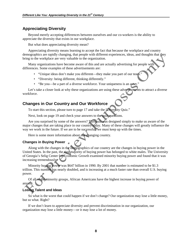# **Appreciating Diversity**

Beyond merely accepting differences between ourselves and our co-workers is the ability to appreciate the diversity that exists in our workplace.

But what does appreciating diversity mean?

Appreciating diversity means learning to accept the fact that because the workplace and country demographics are rapidly changing, that people with different experiences, ideas, and thoughts that they bring to the workplace are very valuable to the organization.

Many organizations have become aware of this and are actually advertising for people with differences. Some examples of these advertisements are:

- "Unique ideas don't make you different—they make you part of our team."
- "Diversity: being different, thinking differently."
- "Be you—be a part of a diverse workforce. Your uniqueness is an asset."

Let's take a closer look at why these organizations are using these advertisements to attract a diverse workforce.

# **Changes in Our Country and Our Workforce**

To start this section, please turn to page 17 and take the "Diversity Quiz."

Next, look on page 19 and check your answers to the quiz questions.

Are you surprised by some of the answers? This quiz was designed simply to make us aware of the major changes that are taking place in our country today. Many of these changes will greatly influence the way we work in the future. If we are to be successful, we must keep up with the times.

Here is some more information about our changing country.

### **Changes in Buying Power**

Along with the changes in the demographics of our country are the changes in buying power in the United States. In the past, the vast majority of buying power has belonged to white males. The University of Georgia's Selig Center for Economic Growth examined minority buying power and found that it was increasing tremendously.

Minority buying power was \$647 billion in 1990. By 2001 that number is estimated to be \$1.3 trillion. This number has nearly doubled, and is increasing at a much faster rate than overall U.S. buying power.

Of all of the minority groups, African Americans have the highest increase in buying power of anyone.

### **Losing Talent and Ideas**

So what is the worst that could happen if we don't change? Our organization may lose a little money, but so what. Right?

If we don't learn to appreciate diversity and prevent discrimination in our organization, our organization may lose a little money—or it may lose a lot of money.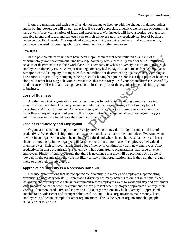If our organization, and each one of us, do not change to keep up with the changes in demographics and in buying power, we will all pay the price. If we don't appreciate diversity, we lose the opportunity to have a workforce with a variety of ideas and experiences. We, instead, will have a workforce that loses valuable talents and ideas, and subjects itself to high turnover rates, low productivity, loss of business, and even possible lawsuits. Our organization may eventually go out of business, and we, personally, could even be sued for creating a hostile environment for another employee.

#### **Lawsuits**

In the past couple of years there have been major lawsuits that were initiated as a result of a discriminatory work environment. One beverage company was successfully sued for \$192.5 million because of discrimination in their workplace. This company now has a diversity institution to train each employee on diversity issues. A major trucking company had to pay \$450,000 to six female employees. A major technical company is being sued for \$97 million for discriminating against minority employees. The nation's largest utility company is being sued for having hangman's nooses at their place of business along with other harassing behavior. So what does this mean for you? If your organization is successfully sued because of discrimination, employees could lose their jobs or the organization could simply go out of business.

#### **Loss of Business**

Another way that organizations are losing money is by not taking changing demographics into account when marketing. Currently, many computer companies are losing a lot of money by not marketing to African Americans. As we saw above, African-American buying power is increasing faster than in any other group of people. If our organizations lose market share, they, again, may go out of business or have to cut back their number of employees.

#### **Loss of Productivity and Employees**

Organizations that don't appreciate diversity are losing money due to high turnover and loss of productivity. When there is high turnover, organizations lose valuable talent and ideas. Everyone wants to work in an organization where he or she feels valued and where he or she feels that he or she has a chance at moving up in the organization. Organizations that do not make all employees feel valued often have very high turnover, and it takes a lot of money to continuously train new employees. Also, productivity in those organizations is often low when compared to organizations that value diverse employees. Finally, if employees feel that there is no chance that they will be promoted or be able to move up in the organization, they are not likely to stay in that organization, and if they do, they are not likely to give their best to that job.

#### **Appreciating Diversity Is a Necessary Job Skill**

Because organizations that do not appreciate diversity lose money and employees, appreciating diversity is a necessary job skill. Appreciating diversity has many benefits to our organizations. When we appreciate diversity we create an environment where employees want to work and stay and customers want to come. Since the work environment is more pleasant when employees appreciate diversity, their work is often more productive and innovative. Also, organizations in which diversity is appreciated are able to provide richer and stronger solutions for clients. These organizations make money, keep employees, and set an example for other organizations. This is the type of organization that people actually want to work in.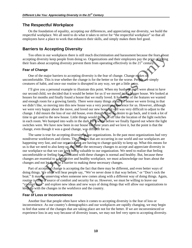#### **The Respectful Workplace**

On the foundation of equality, accepting our differences, and appreciating our diversity, we build the respectful workplace. We all need to do what it takes to strive for "the respectful workplace" so that all employees have a place to work that enhances their skills, and simply makes them feel good.

# **Barriers to Accepting Diversity**

Too often in our workplaces there is still much discrimination and harassment because the fears about accepting diversity keep people from doing so. Organizations and their employees pay the price of letting their fears about accepting diversity prevent them from operating effectively in the  $21<sup>st</sup>$  century.

#### **Fear of Change**

One of the major barriers to accepting diversity is the fear of change. Change makes us uncomfortable. This is true whether the change is for the better or for the worse. People are simply creatures of habit, and once our routine is disrupted in any way, we get a little antsy.

I'll give you a personal example to illustrate this point. When my husband and I were about to have our second child, we decided that it would be better for us if we moved into a bigger house. We looked at houses for months and finally found a house that we really loved. It had most of the features we wanted and enough room for a growing family. There were many things about the house we were living in that we didn't like, so moving into this new house was a very positive experience for us. However, although we were very happy about the move, and loved our new house, it still was very difficult to adjust to the change. I did mourn the loss of our old house, even though I had no desire to go back, and it took a lot of time to get used to the new house. Little things would throw us off like the location of the light switches in each room. We bumped into walls in the dark for a while before we finally figured out where the light switches were. We have now been in our house for three years and we love it, but the point is that the change, even though it was a good change, was difficult for us.

The same is true for accepting diversity in our organizations. In the past most organizations had very nondiverse workforces and clients. The changes that are occurring in our world and our workplaces are happening very fast, and our organizations are having to change quickly to keep up. What this means for us is that we need to also keep up and make the necessary changes to accept and appreciate diversity in our workplace so that we can keep being valuable to our organization. We need to realize that feeling uncomfortable or feeling fear associated with these changes is normal and healthy. But, because these changes are essential to a productive and healthy workplace, we must acknowledge our fears about the changes and not let them be a barrier to making these necessary changes.

Part of accepting change is accepting the fact that there may be different, and even better ways of doing things. We often will hear people say, "We've never done it that way before," or "Don't rock the boat." It may be unnerving when someone new comes along with a different way of doing things. Again, routine is often a source of comfort and security for us. However, we must be willing to leave our "comfort zone" and explore new ideas and new ways of doing things that will allow our organizations to keep up with the changes in the workforce and the country.

#### **Fear of Loss or Inconvenience**

Another fear that people often have when it comes to accepting diversity is the fear of loss or inconvenience. As our country's demographics and our workplaces are rapidly changing, we may begin to feel that some of the changes that are taking place are not for the better. If we are inconvenienced or experience loss in any way because of diversity issues, we may not feel very open to accepting diversity.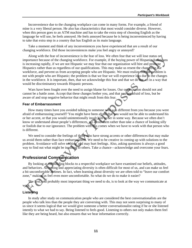Inconvenience due to the changing workplace can come in many forms. For example, a friend of mine is a very liberal person. He also has characteristics that most would consider diverse. However, when this person goes to an ATM machine and has to take the extra step of choosing English as the language he will use, he feels annoyed. He feels annoyed because he is being inconvenienced by having to take that extra step in a country that has English as its main language.

Take a moment and think of any inconveniences you have experienced that are a result of our changing workforce. Did those inconveniences make you feel angry or annoyed?

Along with the fear of inconvenience is the fear of loss. We often fear that we will lose status or importance because of the changing workforce. For example, if the buying power of Hispanic Americans is increasing rapidly, if we are not Hispanic we may fear that our organization will hire and promote Hispanics rather than us regardless of our qualifications. This may make us resent the changes in our workforce, and prevent us from accepting people who are Hispanic. We must realize that the problem is not with people who are Hispanic; the problem is that we fear we will experience loss due to the changes in the workforce. It is important, then, that we acknowledge this fear and that we do not act in a way that would be discriminatory towards Hispanic persons.

Wars have been fought over the need to assign blame for losses. Our organization should not and cannot be a battle zone. Accept that these changes bother you, and that you are afraid of loss, but be aware of and stop negative behavior that might result from this fear.

#### **Fear of Embarrassment**

How many times have you avoided talking to someone who was different from you because you were afraid of embarrassing yourself? You might have been afraid that you would not be able to understand his or her accent, or that you would unintentionally insult him or her in some way. Because we often don't know or understand about people's differences, we avoid them rather than take a chance of looking silly or foolish due to our ignorance. The problem with this comes when we have to work with that person who is different.

We need to consider the feelings of those who have strong accents or other differences that may make us avoid them rather than face embarrassment. We need to be creative in coming up with solutions to the problem. Avoidance will solve nothing, and may hurt feelings. Also, asking questions is always a good way to find out what might be insulting to others. Take a chance—acknowledge and overcome your fears.

# **Professional Communication**

By looking at the building blocks to a respectful workplace we have examined our beliefs, attitudes, and behaviors. Accepting and appreciating diversity is often difficult for most of us, and can make us feel a bit uncomfortable at times. In fact, when learning about diversity we are often told to "leave our comfort zone," making us feel even more uncomfortable. So what do we do to make it easier?

The first, and probably most important thing we need to do, is to look at the way we communicate at work.

#### **Listening**

In study after study on communication people who are considered the best conversationalists are the people who talk less than the people they are conversing with. This may not seem surprising to many of us since it seems logical that we would give someone a better conversationalist rating if he or she listened intently to what we had to say. Being listened to feels good. Listening to others not only makes them feel like they are being heard, but also ensures that we hear information correctly.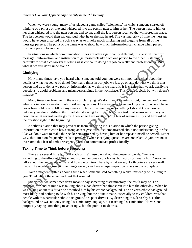When we were young, many of us played a game called "telephone," in which someone started off thinking of a phrase or two and whispered it to the person next to him or her. The person next to him or her then whispered it to the next person, and so on, until the last person received the whispered message. The last person would then say out loud what he or she had heard. The vast majority of time the message would have been distorted in such a way as to invoke much snickering and giggling from all of the message passers. The point of the game was to show how much information can change when passed from one person to another.

In situations in which communication styles are often significantly different, it is very difficult for messages, information, and instruction to get passed clearly from one person to the other. Listening carefully to what a co-worker is telling us is critical to doing our job correctly and professionally. But what if we still don't understand?

#### **Clarifying**

How many times have you heard what someone told you, but were still not really clear about the details or what needed to be done? Too many times in our jobs we just go on and do what we think that person told us to do, or we pass on information as we think we heard it. It is crucial that we ask clarifying questions to avoid problems and misunderstandings in the workplace. This seems logical, but why doesn't it happen?

Many times our fears get in the way of clarifying. We don't want to seem stupid, like we don't know what's going on, so we don't ask clarifying questions. I have recently been working at a job where I have never been told how to fill out my time card. Now, this seems like something I should know how to do, but everyone does it differently. I feel stupid asking for instructions on a task that seems so ordinary, and now I have let several weeks go by. I needed to have overcome my fear of seeming silly and have asked the question right in the beginning.

Another situation that may prevent us from clarifying is a situation in which the person giving information or instruction has a strong accent. We often feel embarrassed about not understanding, or feel like we don't want to make the speaker embarrassed by having him or her repeat himself or herself. Either way, this situation frequently leads to problems when clarifying questions are not asked. Again, we must overcome this fear of embarrassment in order to communicate professionally.

# **Taking Time to Think before Speaking**

There are several little blurb-like ads on TV these days about the power of words. One says something to the effect of, "Sticks and stones can break your bones, but words can really hurt." Another talks about the language we use, and how we can teach hate by what we say. Both points are very well made. The words we use and the things we say can have a large impact on others in our workplace.

Take a moment to think about a time when someone said something really unfriendly or insulting to you. Think about the anger and hurt that resulted.

Even when we sometimes don't mean to say something discriminatory, the result may be. For example, a friend of mine was talking about a bad driver that almost ran into him the other day. When he was talking about this driver he described him by his ethnic background. The driver's ethnic background most likely had nothing to do with his driving, but the point it made, especially to my children, was that people with this particular ethnic background are poor drivers. By describing this driver by his ethic background he was not only using discriminatory language, but teaching discrimination. He was not purposely saying something mean or ugly, but the point it made was.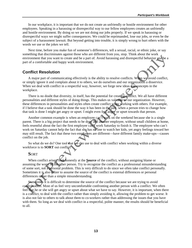In our workplace, it is important that we do not create an unfriendly or hostile environment for other employees. Speaking in a harassing or disrespectful way to our fellow employees creates an unfriendly and hostile environment. By doing so we are not doing our jobs properly. If we speak in harassing or disrespectful ways we might suffer consequences. We could be reprimanded, lose our jobs, or even be the subject of a harassment lawsuit. But beyond getting into trouble, it is simply wrong to hurt others with the words we use or the jokes we tell.

Next time, before you make fun of someone's differences, tell a sexual, racial, or ethnic joke, or say something that discriminates against those who are different from you, stop. Think about the work environment that you want to create and be a part of. Avoid harassing and disrespectful behavior and be a part of a comfortable and happy work environment.

# **Conflict Resolution**

A major part of communicating effectively is the ability to resolve conflicts. When we avoid conflict, or simply ignore it and complain about it to others, we do ourselves and our organization a disservice. When we deal with conflict in a respectful way, however, we forge new ideas and concepts in the workplace.

There is no doubt that diversity, in itself, has the potential for creating conflict. We all have different personalities and different styles of doing things. This makes us valuable to our organization. However, these differences in personalities and styles often create conflict when working with others. For example, if I believe that a task should be done the way it has been in the past, when a person tries to change how that task is done I might get angry or upset. I might even feel angry or upset towards that person.

Another common example is when an employee can't work on the weekend because she is a single parent. There is a big project that needs to be done and another employee, without small children at home, feels resentful about the fact the first employee can't work Saturday to finish it. The employee who can't work on Saturday cannot help the fact that she has no one to watch her kids, yet angry feelings toward her may still result. The fact that these two employees are different—have different family make-ups—causes conflict on the job.

So what do we do? One tool that we can use to deal with conflict when working within a diverse workforce is to **SORT** out conflict.

### **S**ORT

When conflict arises, look honestly at the **Source** of the conflict, without assigning blame or assuming the worst of the other person. Try to recognize the conflict as a professional misunderstanding of some sort, not a personal problem. This is very difficult to do since we often take conflict personally. Sometimes it is also easier to assume the source of the conflict is external differences or personal differences rather than a simple misunderstanding.

Sometimes it is difficult to determine the source of the conflict because we are trying to avoid confrontation. Most of us feel very uncomfortable confronting another person with a conflict. We often feel that he or she will get angry or upset about what we have to say. However, it is important, when there is a conflict, to deal with the conflict rather than simply avoiding it, allowing the problem to get worse. It is also not fair to others to talk about them to co-workers rather than addressing the issues that you have with them. So long as we deal with conflict in a respectful, polite manner, the results should be beneficial to all.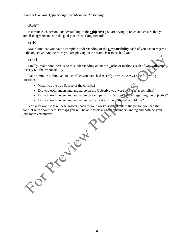# S**O**RT

Examine each person's understanding of the **Objective** you are trying to reach and ensure that you are all in agreement as to the goal you are working towards.

# SO**R**T

Make sure that you have a complete understanding of the **Responsibility** each of you has in regards to the objective. Are the roles you are playing on the team clear to each of you?

# SOR**T**

Finally, make sure there is no misunderstanding about the **Tasks** or methods each of you will employ to carry out the responsibility.

Take a minute to think about a conflict you have had recently at work. Answer the following questions:

- What was the true Source of the conflict?
- Did you each understand and agree on the Objective you were trying to accomplish?
- Did you each understand and agree on each person's Responsibilities regarding the objective?
- Did you each understand and agree on the Tasks or methods you would use?

You may want to take these answers back to your workplace and talk to the person you had the conflict with about them. Perhaps you will be able to clear up the misunderstanding and both do your jobs more effectively.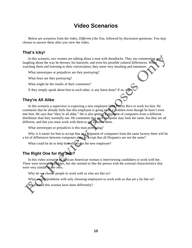# **Video Scenarios**

Below are scenarios from the video, *Different Like You,* followed by discussion questions. You may choose to answer these after you view the video.

# **That's Icky!**

In this scenario, two women are talking about a man with dreadlocks. They are commenting and laughing about the way he dresses, his hairstyle, and even his possible cultural differences. When watching them and listening to their conversation, they seem very insulting and immature.

What stereotypes or prejudices are they portraying?

What fears are they portraying?

What might be the results of their comments?

If they simply speak about him to each other, is any harm done? If so, wh

# **They're All Alike**

In this scenario a supervisor is expecting a new employee from Puerto Rico to work for him. He comments that he already feels that this employee is going to be a problem even though he hasn't even met him. He says that "they're all alike." He is also getting a shipment of computers from a different distributor than they normally use. He comments that each computer may look the same, but they are all different, and that you must work with them to get to know them.

What stereotypes or prejudices is this man portraying?

Why is it easier for him to accept that in a shipment of computers from the same factory there will be a lot of differences between computers than to accept that all Hispanics are not the same?

What could he do to help himself accept the new employee?

# **The Right One for the Job?**

In this video scenario an African-American woman is interviewing candidates to work with her. There were several candidates, but she seemed to like the person with the external characteristics that were very similar to her own.

Why do we choose people to work with us who are like us?

What are the problems with only choosing employees to work with us that are a lot like us?

What could this woman have done differently?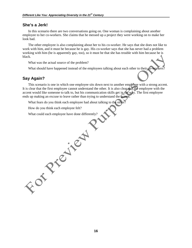# **She's a Jerk!**

In this scenario there are two conversations going on. One woman is complaining about another employee to her co-workers. She claims that he messed up a project they were working on to make her look bad.

The other employee is also complaining about her to his co-worker. He says that she does not like to work with him, and it must be because he is gay. His co-worker says that she has never had a problem working with him (he is apparently gay, too), so it must be that she has trouble with him because he is black.

What was the actual source of the problem?

What should have happened instead of the employees talking about each other to their co-workers?

# **Say Again?**

This scenario is one in which one employee sits down next to another employee with a strong accent. It is clear that the first employee cannot understand the other. It is also clear that the employee with the accent would like someone to talk to, but his communication skills get in the way. The first employee ends up making an excuse to leave rather than trying to understand the accent.

 $\mathcal{R}$ 

What fears do you think each employee had about talking to the other?

How do you think each employee felt?

FOT PIETRY

What could each employee have done differently?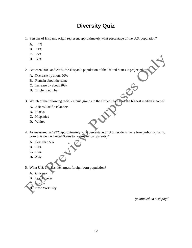# **Diversity Quiz**

- 1. Persons of Hispanic origin represent approximately what percentage of the U.S. population?
	- **A.** 4%
	- **B.** 11%
	- **C.** 22%
	- **D.** 30%
- 2. Between 2000 and 2050, the Hispanic population of the United States is projected to:
	- **A.** Decrease by about 20%
	- **B.** Remain about the same
	- **C.** Increase by about 20%
	- **D.** Triple in number
- 3. Which of the following racial / ethnic groups in the United States has the highest median income?
	- **A.** Asians/Pacific Islanders
	- **B.** Blacks
	- **C.** Hispanics
	- **D.** Whites
- 4. As measured in 1997, approximately what percentage of U.S. residents were foreign-born (that is, born outside the United States to non-American parents)?
	- **A.** Less than 5%
	- **B.** 10%
	- **C.** 15%
	- **D.** 25%
- 5. What U.S. city has the largest foreign-born population?
	- **A.** Chicago
	- **B.** Los Angeles
	- **C.** Boston

# **D.** New York City

*(continued on next page)*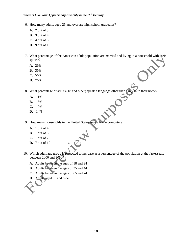- 6. How many adults aged 25 and over are high school graduates?
	- **A.** 2 out of 3
	- **B.** 3 out of 4
	- **C.** 4 out of 5
	- **D.** 9 out of 10
- 7. What percentage of the American adult population are married and living in a household with their spouse?
	- **A.** 26%
	- **B.** 36%
	- **C.** 56%
	- **D.** 76%

8. What percentage of adults (18 and older) speak a language other than English in their home?

- **A.** 1%
- **B.** 5%
- **C.** 9%
- **D.** 14%

9. How many households in the United States own a home computer?

- **A.** 1 out of 4
- **B.** 1 out of 3
- **C.** 1 out of 2
- **D.** 7 out of 10
- 10. Which adult age group is projected to increase as a percentage of the population at the fastest rate between 2000 and 2050?
	- **A.** Adults between the ages of 18 and 24
	- **B.** Adults between the ages of 35 and 44
	- **C.** Adults between the ages of 65 and 74
	- **D.** Adults aged 85 and older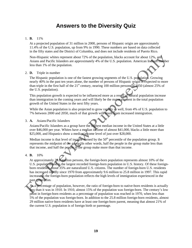# **Answers to the Diversity Quiz**

### 1. **B.** 11%

 At a projected population of 31 million in 2000, persons of Hispanic origin are approximately 11.4% of the U.S. population, up from 9% in 1990. These numbers are based on data collected in the fifty states and the District of Columbia, and does not include residents of Puerto Rico.

 Non-Hispanic whites represent about 72% of the population, blacks account for about 12%, and Asians and Pacific Islanders are approximately 4% of the U.S. population. American Indians number less than 1% of the population.

### 2. **D.** Triple in number

 The Hispanic population is one of the fastest growing segments of the U.S. population. Growing nearly 40% in the past ten years alone, the number of persons of Hispanic origin is expected to more than triple in the first half of the 21<sup>st</sup> century, nearing 100 million persons in 2050 (almost 25% of the U.S. population).

 This population growth is expected to be influenced more as a result of natural population increase than immigration in the coming years and will likely be the major element in the total population growth of the United States in the next fifty years.

While the Asian population is also projected to grow rapidly as well, from 4% of U.S. population to 7% between 2000 and 2050, much of that growth will result from increased immigration.

### 3. **A.** Asians/Pacific Islanders

 Asians/Pacific Islanders as a group have the highest median income in the United States at a little over \$46,000 per year. Whites have a median income of almost \$41,000, blacks a little more than \$25,000, and Hispanics show a median income level of just over \$28,000.

Median income is that level of income earned by the  $50<sup>th</sup>$  percentile of the population group. It represents the midpoint of the group. In other words, half the people in the group make less than that income, and half the people in the group make more than that income.

# 4. **B.** 10%

 At approximately 25.8 million persons, the foreign-born population represents almost 10% of the U.S. population and is the largest recorded foreign-born population in U.S. history. Of these foreignborn residents, about 35% are naturalized U.S. citizens. The number of foreign-born U.S. residents has increased rapidly since 1970 from approximately 9.6 million to 25.8 million in 1997. This rapid increase in the foreign-born population reflects the high levels of immigration experienced in the past generation.

 As a percentage of population, however, the ratio of foreign-born to native-born residents is actually less than it was in 1910. In 1910, almost 15% of the population was foreign-born. The century's low point in foreign-born residents as a percentage of population was reached in 1970, when less than 5% of the population was foreign-born. In addition to the 25.8 million foreign-born residents, almost 29 million native-born residents have at least one foreign-born parent, meaning that almost 21% of the current U.S. population is of foreign birth or parentage.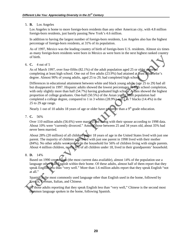### 5. **B.** Los Angeles

 Los Angeles is home to more foreign-born residents than any other American city, with 4.8 million foreign-born residents, just barely passing New York's 4.6 million.

 In addition to having the largest number of foreign-born residents, Los Angeles also has the highest percentage of foreign-born residents, at 31% of its population.

 As of 1997, Mexico was the leading country of birth of foreign-born U.S. residents. Almost six times as many foreign-born residents were born in Mexico as were born in the next highest ranked country of birth.

6. **C.** 4 out of 5

 As of March 1997, over four-fifths (82.1%) of the adult population aged 25 or older reported completing at least high school. One out of five adults (23.9%) had attained at least a bachelor's degree. Almost 90% of young adults, aged 25 to 29, had completed high school.

 Differences in educational attainment between white and black young adults (age 25 to 29) had all but disappeared in 1997. Hispanic adults showed the lowest percentages of high school completion, with only slightly more than half (54.7%) having graduated high school. Asians showed the highest proportion of college graduates. One-half (50.5%) of the Asian young adult population had completed a college degree, compared to 1 in 3 whites (28.9%) and 1 in 7 blacks (14.4%) in the 25 to 29 age range.

Nearly 1 out of 10 adults 18 years of age or older have no better than a  $9<sup>th</sup>$  grade education.

7. **C.** 56%

 Over 110 million adults (56.6%) were married and living with their spouse according to 1998 data. About 10% were "currently divorced." Among those between 25 and 34 years old, about 35% had never been married.

 About 28% (20 million) of all children under 18 years of age in the United States lived with just one parent. The majority of children who lived with just one parent in 1998 lived with their mother (84%). No other adults were present in the household for 56% of children living with single parents. About 4 million children, nearly 6% of all children under 18, lived in their grandparents' household.

# 8. **D.** 14%

 Based on 1990 census data (the most current data available), almost 14% of the population use a language other than English within their home. Of these adults, almost half of them report that they speak English less than "very well." More than 1.6 million adults report that they speak English "not at all."

 Spanish is the most commonly used language other than English used in the home, followed by French, German, Italian, and Chinese.

 Of those adults reporting that they speak English less than "very well," Chinese is the second most common language spoken in the home, following Spanish.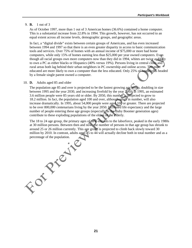#### 9. **B.** 1 out of 3

 As of October 1997, more than 1 out of 3 American homes (36.6%) contained a home computer. This is a substantial increase from 22.8% in 1994. This growth, however, has not occurred to an equal extent across all income levels, demographic groups, and geographic areas.

 In fact, a "digital divide" exists between certain groups of Americans, and has even increased between 1994 and 1997 so that there is an even greater disparity in access to basic communication tools and services. Over 75% of homes with an annual income of \$75,000 or more had home computers, while only 15% of homes earning less than \$25,000 per year owned computers. Even though all racial groups own more computers now than they did in 1994, whites are twice as likely to own a PC as either blacks or Hispanics (40% versus 19%). Persons living in central cities and rural areas both lag behind their urban neighbors in PC ownership and online access. The more educated are more likely to own a computer than the less educated. Only 25% of households headed by a female single parent owned a computer.

#### 10. **D.** Adults aged 85 and older

 The population age 85 and over is projected to be the fastest growing age group, doubling in size between 1995 and the year 2030, and increasing fivefold by the year 2050. In 1995, an estimated 3.6 million people were 85 years old or older. By 2050, this number is projected to grow to 18.2 million. In fact, the population aged 100 and over, although small in number, will also increase dramatically. In 1995, about 54,000 people were aged 100 or greater. There are projected to be over 800,000 centenarians living by the year 2050. Increased life expectancy and the large number of people entering these age groups (especially as the Baby Boomer generation ages) contribute to these exploding populations of the eldest of the elderly.

 The 18 to 24 age group, the primary ages of new entrants to the laborforce, peaked in the early 1980s at 30 million persons. Between then and now, the number of persons in that age group has shrunk to around 25 or 26 million currently. This age group is projected to climb back slowly toward 30 million by 2010. In contrast, adults aged 25 to 44 will actually decline both in total number and as a

percentage of the population of the population